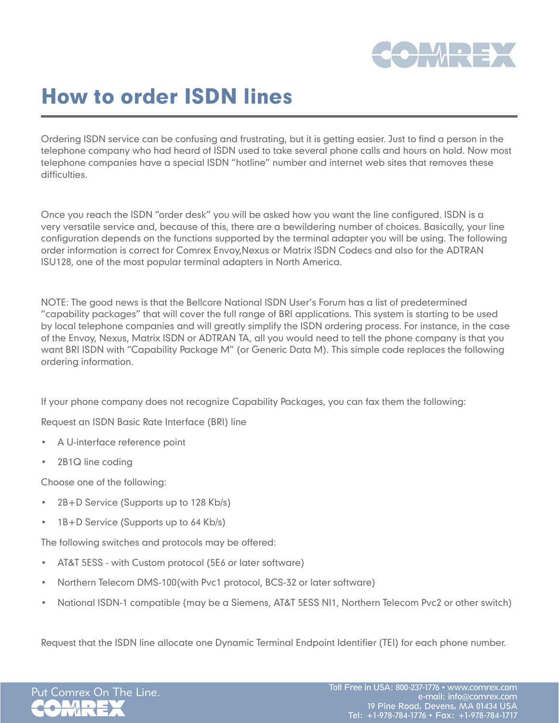

# How to order ISDN lines

Ordering ISDN service can be confusing and frustrating, but it is getting easier. Just to find a person in the telephone company who had heard of ISDN used to take several phone calls and hours on hold. Now most telephone companies have a special ISDN "hotline" number and internet web sites that removes these difficulties.

Once you reach the ISDN "order desk" you will be asked how you want the line configured. ISDN is a very versatile service and, because of this, there are a bewildering number of choices. Basically, your line configuration depends on the functions supported by the terminal adapter you will be using. The following order information is correct for Comrex Envoy,Nexus or Matrix ISDN Codecs and also for the ADTRAN ISU128, one of the most popular terminal adapters in North America.

NOTE: The good news is that the Bellcore National ISDN User's Forum has a list of predetermined "capability packages" that will cover the full range of BRI applications. This system is starting to be used by local telephone companies and will greatly simplify the ISDN ordering process. For instance, in the case of the Envoy, Nexus, Matrix ISDN or ADTRAN TA, all you would need to tell the phone company is that you want BRI ISDN with "Capability Package M" (or Generic Data M). This simple code replaces the following ordering information.

If your phone company does not recognize Capability Packages, you can fax them the following:

Request an ISDN Basic Rate Interface (BRI) line

- A U-interface reference point
- 2B1Q line coding

Choose one of the following:

- • 2B+D Service (Supports up to 128 Kb/s)
- • 1B+D Service (Supports up to 64 Kb/s)

The following switches and protocols may be offered:

- AT&T 5ESS with Custom protocol (5E6 or later software)
- Northern Telecom DMS-100(with Pvc1 protocol, BCS-32 or later software)
- National ISDN-1 compatible (may be a Siemens, AT&T 5ESS NI1, Northern Telecom Pvc2 or other switch)

Request that the ISDN line allocate one Dynamic Terminal Endpoint Identifier (TEI) for each phone number.

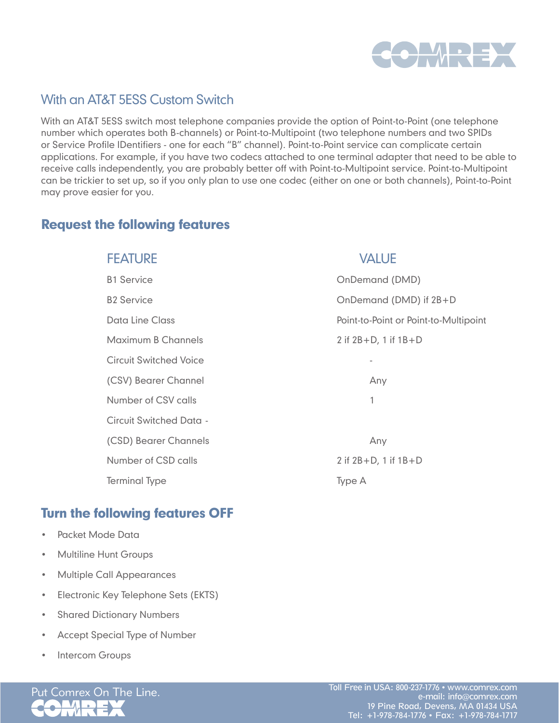

# With an AT&T 5ESS Custom Switch

With an AT&T 5ESS switch most telephone companies provide the option of Point-to-Point (one telephone number which operates both B-channels) or Point-to-Multipoint (two telephone numbers and two SPIDs or Service Profile IDentifiers - one for each "B" channel). Point-to-Point service can complicate certain applications. For example, if you have two codecs attached to one terminal adapter that need to be able to receive calls independently, you are probably better off with Point-to-Multipoint service. Point-to-Multipoint can be trickier to set up, so if you only plan to use one codec (either on one or both channels), Point-to-Point may prove easier for you.

## Request the following features

| <b>FEATURE</b>                | <b>VALUE</b>                          |
|-------------------------------|---------------------------------------|
| <b>B1 Service</b>             | OnDemand (DMD)                        |
| <b>B2 Service</b>             | OnDemand (DMD) if 2B+D                |
| Data Line Class               | Point-to-Point or Point-to-Multipoint |
| Maximum B Channels            | 2 if $2B + D$ , 1 if $1B + D$         |
| <b>Circuit Switched Voice</b> |                                       |
| (CSV) Bearer Channel          | Any                                   |
| Number of CSV calls           | 1                                     |
| Circuit Switched Data -       |                                       |
| (CSD) Bearer Channels         | Any                                   |
| Number of CSD calls           | 2 if $2B + D$ , 1 if $1B + D$         |
| <b>Terminal Type</b>          | Type A                                |

## Turn the following features OFF

- • Packet Mode Data
- **Multiline Hunt Groups**
- • Multiple Call Appearances
- • Electronic Key Telephone Sets (EKTS)
- • Shared Dictionary Numbers
- • Accept Special Type of Number
- Intercom Groups